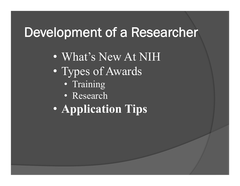## Development of a Researcher

- What's New At NIH
- Types of Awards
	- Training
	- Research
- **Application Tips**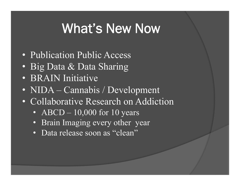## What's New Now

- Publication Public Access
- Big Data & Data Sharing
- BRAIN Initiative
- NIDA Cannabis / Development
- Collaborative Research on Addiction
	- ABCD 10,000 for 10 years
	- Brain Imaging every other year
	- Data release soon as "clean"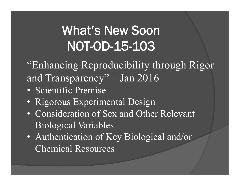## What's New Soon NOT-OD-15-103

"Enhancing Reproducibility through Rigor and Transparency" – Jan 2016

- Scientific Premise
- Rigorous Experimental Design
- Consideration of Sex and Other Relevant Biological Variables
- Authentication of Key Biological and/or Chemical Resources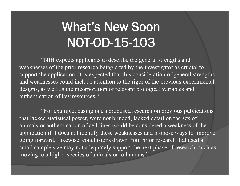## What's New Soon NOT-OD-15-103

"NIH expects applicants to describe the general strengths and weaknesses of the prior research being cited by the investigator as crucial to support the application. It is expected that this consideration of general strengths and weaknesses could include attention to the rigor of the previous experimental designs, as well as the incorporation of relevant biological variables and authentication of key resources. "

"For example, basing one's proposed research on previous publications that lacked statistical power, were not blinded, lacked detail on the sex of animals or authentication of cell lines would be considered a weakness of the application if it does not identify these weaknesses and propose ways to improve going forward. Likewise, conclusions drawn from prior research that used a small sample size may not adequately support the next phase of research, such as moving to a higher species of animals or to humans."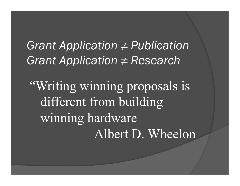*Grant Application ≠ Publication Grant Application ≠ Research* 

"Writing winning proposals is different from building winning hardware Albert D. Wheelon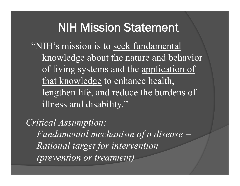### NIH Mission Statement

"NIH's mission is to seek fundamental knowledge about the nature and behavior of living systems and the application of that knowledge to enhance health, lengthen life, and reduce the burdens of illness and disability."

*Critical Assumption:* 

*Fundamental mechanism of a disease = Rational target for intervention (prevention or treatment)*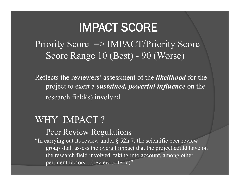## IMPACT SCORE

Priority Score => IMPACT/Priority Score Score Range 10 (Best) - 90 (Worse)

Reflects the reviewers' assessment of the *likelihood* for the project to exert a *sustained, powerful influence* on the research field(s) involved

### WHY IMPACT ?

### Peer Review Regulations

"In carrying out its review under § 52h.7, the scientific peer review group shall assess the overall impact that the project could have on the research field involved, taking into account, among other pertinent factors…(review criteria)"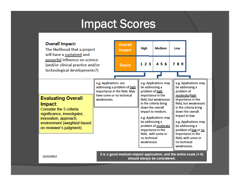## Impact Scores

| <b>Overall Impact:</b><br>The likelihood that a project<br>will have a sustained and<br>powerful influence on science<br>(and/or clinical practice and/or<br>technological developments?) |                                                                                                   | <b>Overall</b><br>Impact                                                                  | <b>High</b>                                                                                             | <b>Medium</b>                                                                                                                                                                                                 | <b>Low</b>                                                  |                                                                                                                                                                                                                                                                      |
|-------------------------------------------------------------------------------------------------------------------------------------------------------------------------------------------|---------------------------------------------------------------------------------------------------|-------------------------------------------------------------------------------------------|---------------------------------------------------------------------------------------------------------|---------------------------------------------------------------------------------------------------------------------------------------------------------------------------------------------------------------|-------------------------------------------------------------|----------------------------------------------------------------------------------------------------------------------------------------------------------------------------------------------------------------------------------------------------------------------|
|                                                                                                                                                                                           |                                                                                                   | <b>Score</b>                                                                              | 123                                                                                                     | 456                                                                                                                                                                                                           | 789                                                         |                                                                                                                                                                                                                                                                      |
| <b>Evaluating Overall</b><br>Impact:<br>Consider the 5 criteria:<br>significance, investigator,<br>innovation, approach,<br>environment (weighted based<br>on reviewer's judgment)        | e.g. Applications are<br>weaknesses.                                                              | addressing a problem of high<br>importance in the field. May<br>have some or no technical | be addressing a<br>problem of high<br>down the overall<br>be addressing a<br>no technical<br>weaknesses | e.g. Applications may<br>importance in the<br>field, but weaknesses<br>in the criteria bring<br>impact to medium.<br>e.g. Applications may<br>problem of moderate<br>importance in the<br>field, with some or | problem of<br>impact to low.<br>no technical<br>weaknesses. | e.g. Applications may<br>be addressing a<br>moderate/high<br>importance in the<br>field, but weaknesses<br>in the criteria bring<br>down the overall<br>e.g. Applications may<br>be addressing a<br>problem of low or no<br>importance in the<br>field, with some or |
| 12/13/2012                                                                                                                                                                                | 5 is a good medium-impact application, and the entire scale (1-9)<br>should always be considered. |                                                                                           |                                                                                                         |                                                                                                                                                                                                               |                                                             |                                                                                                                                                                                                                                                                      |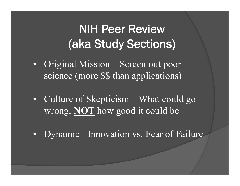## NIH Peer Review (aka Study Sections)

- Original Mission Screen out poor science (more \$\$ than applications)
- Culture of Skepticism What could go wrong, **NOT** how good it could be
- Dynamic Innovation vs. Fear of Failure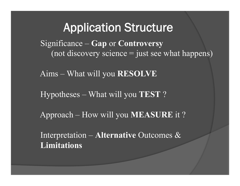# Application Structure Significance – **Gap** or **Controversy**  (not discovery science  $=$  just see what happens) Aims – What will you **RESOLVE**  Hypotheses – What will you **TEST** ? Approach – How will you **MEASURE** it ? Interpretation – **Alternative** Outcomes & **Limitations**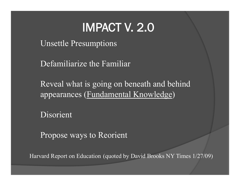### IMPACT V. 2.0

Unsettle Presumptions

Defamiliarize the Familiar

Reveal what is going on beneath and behind appearances (Fundamental Knowledge)

Disorient

Propose ways to Reorient

Harvard Report on Education (quoted by David Brooks NY Times 1/27/09)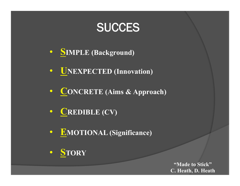## **SUCCES**

- **SIMPLE (Background)**
- **UNEXPECTED (Innovation)**
- **CONCRETE (Aims & Approach)**
- **CREDIBLE (CV)**
- **EMOTIONAL (Significance)**
- **STORY**

**"Made to Stick" C. Heath, D. Heath**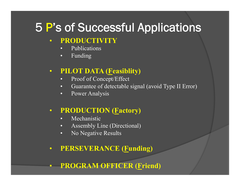## 5 P's of Successful Applications

#### • **PRODUCTIVITY**

- Publications
- Funding

### • **PILOT DATA (Feasiblity)**

- Proof of Concept/Effect
- Guarantee of detectable signal (avoid Type II Error)
- Power Analysis

#### • **PRODUCTION (Factory)**

- **Mechanistic**
- Assembly Line (Directional)
- No Negative Results

### • **PERSEVERANCE (Funding)**

• **PROGRAM OFFICER (Friend)**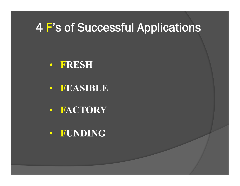### 4 F's of Successful Applications

- **FRESH**
- **FEASIBLE**
- **FACTORY**
- **FUNDING**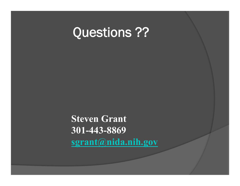## Questions ??

**Steven Grant 301-443-8869 sgrant@nida.nih.gov**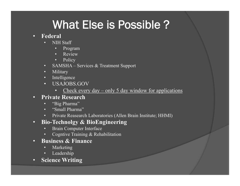## What Else is Possible ?

#### • **Federal**

- NIH Staff
	- Program
	- Review
	- Policy
- SAMSHA Services & Treatment Support
- Military
- Intelligence
- USAJOBS.GOV
	- Check every day only 5 day window for applications
- **Private Research** 
	- "Big Pharma"
	- "Small Pharma"
	- Private Reasearch Laboratories (Allen Brain Institute; HHMI)
- **Bio-Technolgy & BioEngineering** 
	- Brain Computer Interface
	- Cogntive Training & Rehabilitation
- **Business & Finance** 
	- **Marketing**
	- Leadership
- **Science Writing**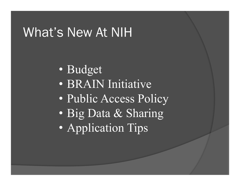## What's New At NIH

- Budget
- BRAIN Initiative
- Public Access Policy
- Big Data & Sharing
- Application Tips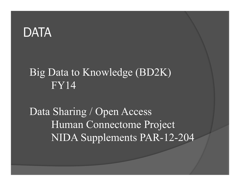## **DATA**

### Big Data to Knowledge (BD2K) FY14

Data Sharing / Open Access Human Connectome Project NIDA Supplements PAR-12-204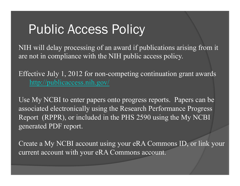## Public Access Policy

NIH will delay processing of an award if publications arising from it are not in compliance with the NIH public access policy.

Effective July 1, 2012 for non-competing continuation grant awards http://publicaccess.nih.gov/

Use My NCBI to enter papers onto progress reports. Papers can be associated electronically using the Research Performance Progress Report (RPPR), or included in the PHS 2590 using the My NCBI generated PDF report.

Create a My NCBI account using your eRA Commons ID, or link your current account with your eRA Commons account.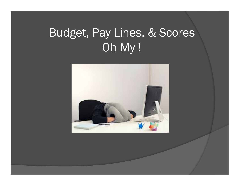## Budget, Pay Lines, & Scores Oh My !

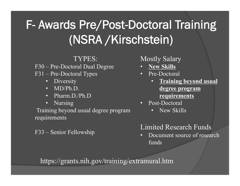## F- Awards Pre/Post-Doctoral Training (NSRA /Kirschstein)

#### TYPES:

F30 – Pre-Doctoral Dual Degree

- F31 Pre-Doctoral Types
	- Diversity
	- MD/Ph.D.
	- Pharm.D./Ph.D
	- Nursing

 Training beyond usual degree program requirements

F33 – Senior Fellowship

#### Mostly Salary

- **New Skills**
- Pre-Doctoral
	- **Training beyond usual degree program requirements**
- Post-Doctoral
	- New Skills

#### Limited Research Funds

Document source of research funds

https://grants.nih.gov/training/extramural.htm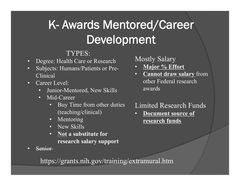## K- Awards Mentored/Career Development

#### TYPES:

- Degree: Health Care or Research
- Subjects: Humans/Patients or Pre-Clinical
- Career Level:
	- Junior-Mentored, New Skills
	- Mid-Career
		- Buy Time from other duties (teaching/clinical)
		- Mentoring
		- New Skills
		- **Not a substitute for research salary support**
- Senior

https://grants.nih.gov/training/extramural.htm

### Mostly Salary

- **Major % Effort**
- **Cannot draw salary** from other Federal research awards

### Limited Research Funds

• **Document source of research funds**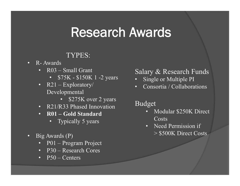## Research Awards

#### TYPES:

- R- Awards
	- R03 Small Grant
		- \$75K \$150K 1 -2 years
	- R21 Exploratory/ Developmental
		- \$275K over 2 years
	- R21/R33 Phased Innovation
	- **R01 Gold Standard** 
		- Typically 5 years
- Big Awards (P)
	- P01 Program Project
	- P30 Research Cores
	- $\cdot$  P50 Centers

### Salary & Research Funds

- Single or Multiple PI
- Consortia / Collaborations

Budget

- Modular \$250K Direct Costs
- Need Permission if > \$500K Direct Costs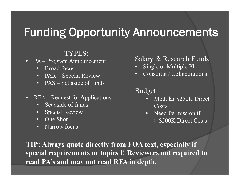## Funding Opportunity Announcements

#### TYPES:

- PA Program Announcement
	- Broad focus
	- PAR Special Review
	- PAS Set aside of funds
- RFA Request for Applications
	- Set aside of funds
	- Special Review
	- One Shot
	- Narrow focus

#### Salary & Research Funds

- Single or Multiple PI
- Consortia / Collaborations

#### Budget

- Modular \$250K Direct Costs
- Need Permission if > \$500K Direct Costs

**TIP: Always quote directly from FOA text, especially if special requirements or topics !! Reviewers not required to read PA's and may not read RFA in depth.**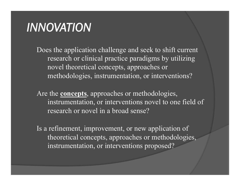### *INNOVATION*

Does the application challenge and seek to shift current research or clinical practice paradigms by utilizing novel theoretical concepts, approaches or methodologies, instrumentation, or interventions?

Are the **concepts**, approaches or methodologies, instrumentation, or interventions novel to one field of research or novel in a broad sense?

Is a refinement, improvement, or new application of theoretical concepts, approaches or methodologies, instrumentation, or interventions proposed?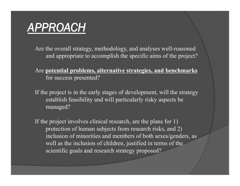### *APPROACH*

Are the overall strategy, methodology, and analyses well-reasoned and appropriate to accomplish the specific aims of the project?

- Are **potential problems, alternative strategies, and benchmarks**  for success presented?
- If the project is in the early stages of development, will the strategy establish feasibility and will particularly risky aspects be managed?
- If the project involves clinical research, are the plans for 1) protection of human subjects from research risks, and 2) inclusion of minorities and members of both sexes/genders, as well as the inclusion of children, justified in terms of the scientific goals and research strategy proposed?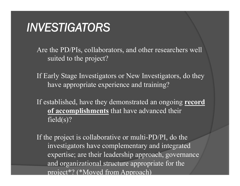### *INVESTIGATORS*

Are the PD/PIs, collaborators, and other researchers well suited to the project?

If Early Stage Investigators or New Investigators, do they have appropriate experience and training?

If established, have they demonstrated an ongoing **record of accomplishments** that have advanced their field(s)?

If the project is collaborative or multi-PD/PI, do the investigators have complementary and integrated expertise; are their leadership approach, governance and organizational structure appropriate for the project\*? (\*Moved from Approach)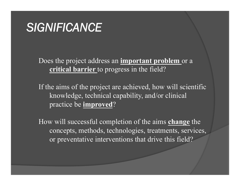### *SIGNIFICANCE*

Does the project address an **important problem** or a **critical barrier** to progress in the field?

If the aims of the project are achieved, how will scientific knowledge, technical capability, and/or clinical practice be **improved**?

How will successful completion of the aims **change** the concepts, methods, technologies, treatments, services, or preventative interventions that drive this field?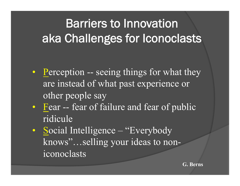## Barriers to Innovation aka Challenges for Iconoclasts

- Perception -- seeing things for what they are instead of what past experience or other people say
- Fear -- fear of failure and fear of public ridicule
- Social Intelligence "Everybody" knows"…selling your ideas to noniconoclasts

**G. Berns**